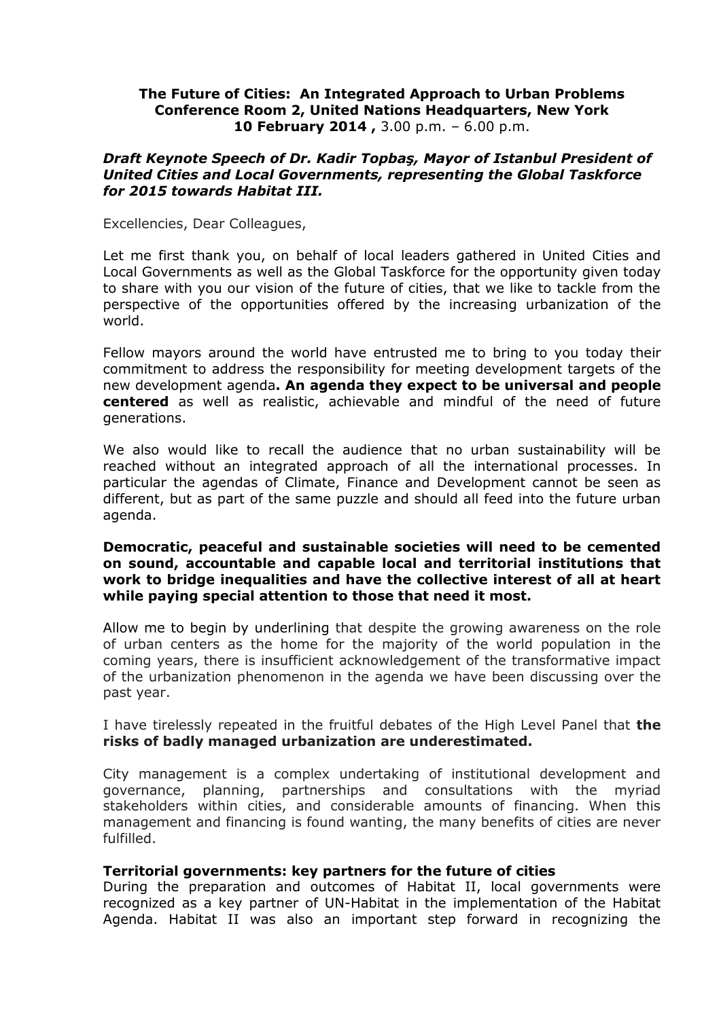## **The Future of Cities: An Integrated Approach to Urban Problems Conference Room 2, United Nations Headquarters, New York 10 February 2014 ,** 3.00 p.m. – 6.00 p.m.

#### *Draft Keynote Speech of Dr. Kadir Topbaş, Mayor of Istanbul President of United Cities and Local Governments, representing the Global Taskforce for 2015 towards Habitat III.*

Excellencies, Dear Colleagues,

Let me first thank you, on behalf of local leaders gathered in United Cities and Local Governments as well as the Global Taskforce for the opportunity given today to share with you our vision of the future of cities, that we like to tackle from the perspective of the opportunities offered by the increasing urbanization of the world.

Fellow mayors around the world have entrusted me to bring to you today their commitment to address the responsibility for meeting development targets of the new development agenda**. An agenda they expect to be universal and people centered** as well as realistic, achievable and mindful of the need of future generations.

We also would like to recall the audience that no urban sustainability will be reached without an integrated approach of all the international processes. In particular the agendas of Climate, Finance and Development cannot be seen as different, but as part of the same puzzle and should all feed into the future urban agenda.

## **Democratic, peaceful and sustainable societies will need to be cemented on sound, accountable and capable local and territorial institutions that work to bridge inequalities and have the collective interest of all at heart while paying special attention to those that need it most.**

Allow me to begin by underlining that despite the growing awareness on the role of urban centers as the home for the majority of the world population in the coming years, there is insufficient acknowledgement of the transformative impact of the urbanization phenomenon in the agenda we have been discussing over the past year.

I have tirelessly repeated in the fruitful debates of the High Level Panel that **the risks of badly managed urbanization are underestimated.**

City management is a complex undertaking of institutional development and governance, planning, partnerships and consultations with the myriad stakeholders within cities, and considerable amounts of financing. When this management and financing is found wanting, the many benefits of cities are never fulfilled.

#### **Territorial governments: key partners for the future of cities**

During the preparation and outcomes of Habitat II, local governments were recognized as a key partner of UN-Habitat in the implementation of the Habitat Agenda. Habitat II was also an important step forward in recognizing the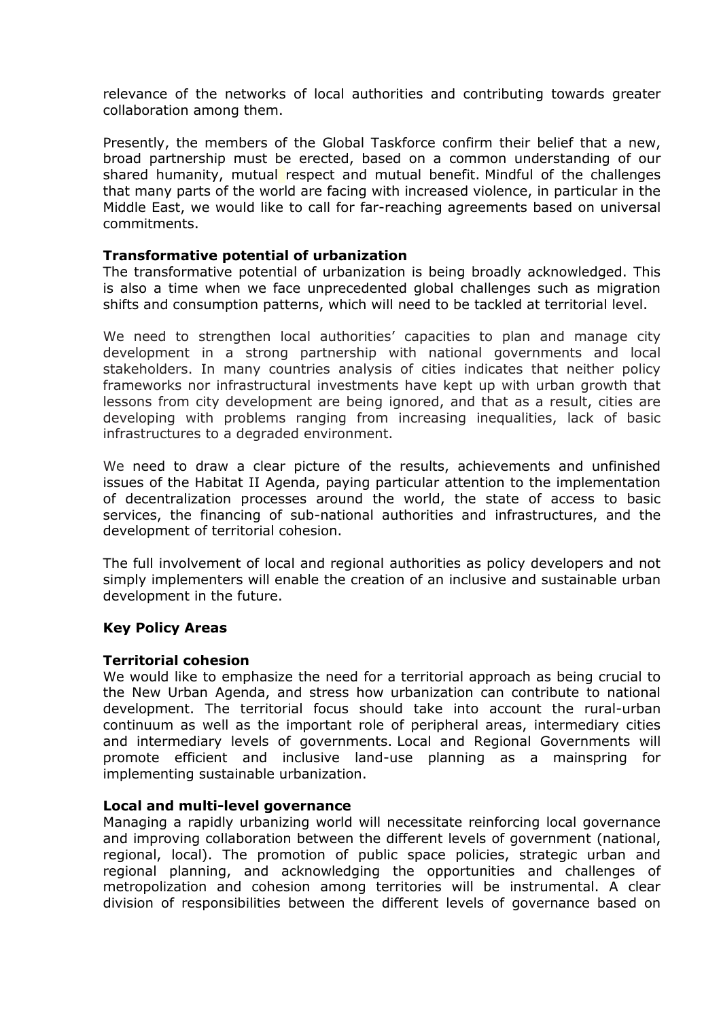relevance of the networks of local authorities and contributing towards greater collaboration among them.

Presently, the members of the Global Taskforce confirm their belief that a new, broad partnership must be erected, based on a common understanding of our shared humanity, mutual respect and mutual benefit. Mindful of the challenges that many parts of the world are facing with increased violence, in particular in the Middle East, we would like to call for far-reaching agreements based on universal commitments.

# **Transformative potential of urbanization**

The transformative potential of urbanization is being broadly acknowledged. This is also a time when we face unprecedented global challenges such as migration shifts and consumption patterns, which will need to be tackled at territorial level.

We need to strengthen local authorities' capacities to plan and manage city development in a strong partnership with national governments and local stakeholders. In many countries analysis of cities indicates that neither policy frameworks nor infrastructural investments have kept up with urban growth that lessons from city development are being ignored, and that as a result, cities are developing with problems ranging from increasing inequalities, lack of basic infrastructures to a degraded environment.

We need to draw a clear picture of the results, achievements and unfinished issues of the Habitat II Agenda, paying particular attention to the implementation of decentralization processes around the world, the state of access to basic services, the financing of sub-national authorities and infrastructures, and the development of territorial cohesion.

The full involvement of local and regional authorities as policy developers and not simply implementers will enable the creation of an inclusive and sustainable urban development in the future.

# **Key Policy Areas**

#### **Territorial cohesion**

We would like to emphasize the need for a territorial approach as being crucial to the New Urban Agenda, and stress how urbanization can contribute to national development. The territorial focus should take into account the rural-urban continuum as well as the important role of peripheral areas, intermediary cities and intermediary levels of governments. Local and Regional Governments will promote efficient and inclusive land-use planning as a mainspring for implementing sustainable urbanization.

#### **Local and multi-level governance**

Managing a rapidly urbanizing world will necessitate reinforcing local governance and improving collaboration between the different levels of government (national, regional, local). The promotion of public space policies, strategic urban and regional planning, and acknowledging the opportunities and challenges of metropolization and cohesion among territories will be instrumental. A clear division of responsibilities between the different levels of governance based on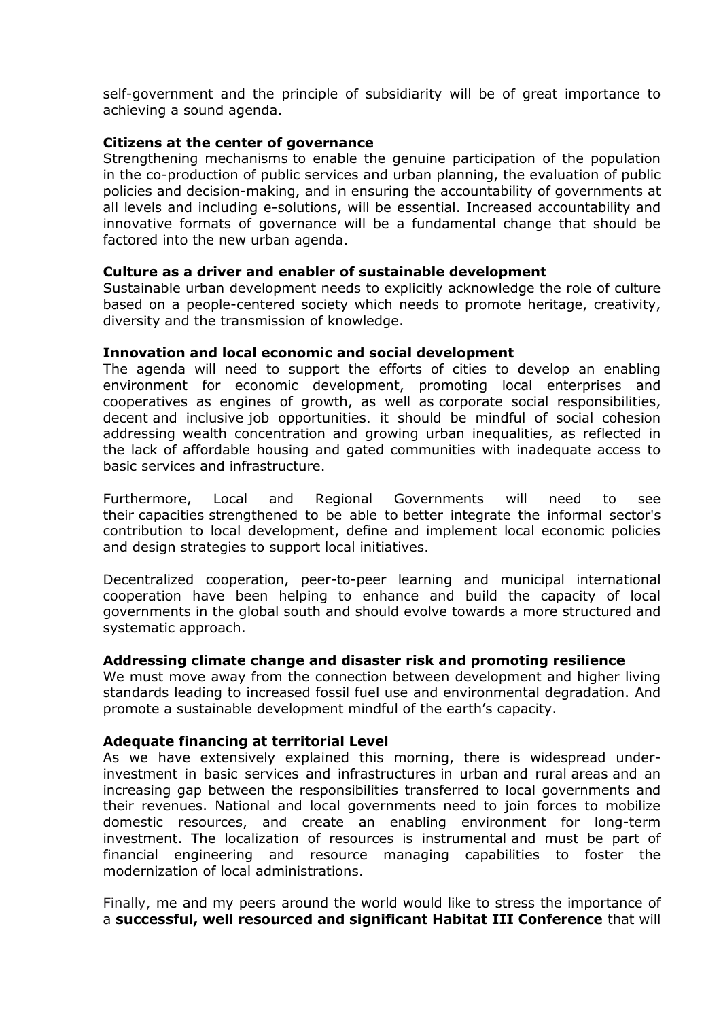self-government and the principle of subsidiarity will be of great importance to achieving a sound agenda.

# **Citizens at the center of governance**

Strengthening mechanisms to enable the genuine participation of the population in the co-production of public services and urban planning, the evaluation of public policies and decision-making, and in ensuring the accountability of governments at all levels and including e-solutions, will be essential. Increased accountability and innovative formats of governance will be a fundamental change that should be factored into the new urban agenda.

# **Culture as a driver and enabler of sustainable development**

Sustainable urban development needs to explicitly acknowledge the role of culture based on a people-centered society which needs to promote heritage, creativity, diversity and the transmission of knowledge.

#### **Innovation and local economic and social development**

The agenda will need to support the efforts of cities to develop an enabling environment for economic development, promoting local enterprises and cooperatives as engines of growth, as well as corporate social responsibilities, decent and inclusive job opportunities. it should be mindful of social cohesion addressing wealth concentration and growing urban inequalities, as reflected in the lack of affordable housing and gated communities with inadequate access to basic services and infrastructure.

Furthermore, Local and Regional Governments will need to see their capacities strengthened to be able to better integrate the informal sector's contribution to local development, define and implement local economic policies and design strategies to support local initiatives.

Decentralized cooperation, peer-to-peer learning and municipal international cooperation have been helping to enhance and build the capacity of local governments in the global south and should evolve towards a more structured and systematic approach.

#### **Addressing climate change and disaster risk and promoting resilience**

We must move away from the connection between development and higher living standards leading to increased fossil fuel use and environmental degradation. And promote a sustainable development mindful of the earth's capacity.

#### **Adequate financing at territorial Level**

As we have extensively explained this morning, there is widespread underinvestment in basic services and infrastructures in urban and rural areas and an increasing gap between the responsibilities transferred to local governments and their revenues. National and local governments need to join forces to mobilize domestic resources, and create an enabling environment for long-term investment. The localization of resources is instrumental and must be part of financial engineering and resource managing capabilities to foster the modernization of local administrations.

Finally, me and my peers around the world would like to stress the importance of a **successful, well resourced and significant Habitat III Conference** that will